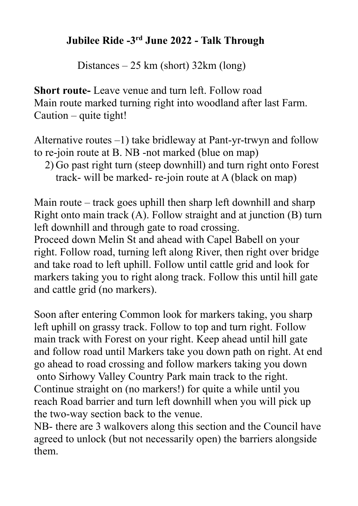## **Jubilee Ride -3rd June 2022 - Talk Through**

Distances – 25 km (short) 32km (long)

**Short route-** Leave venue and turn left. Follow road Main route marked turning right into woodland after last Farm. Caution – quite tight!

Alternative routes –1) take bridleway at Pant-yr-trwyn and follow to re-join route at B. NB -not marked (blue on map)

2) Go past right turn (steep downhill) and turn right onto Forest track- will be marked- re-join route at A (black on map)

Main route – track goes uphill then sharp left downhill and sharp Right onto main track (A). Follow straight and at junction (B) turn left downhill and through gate to road crossing.

Proceed down Melin St and ahead with Capel Babell on your right. Follow road, turning left along River, then right over bridge and take road to left uphill. Follow until cattle grid and look for markers taking you to right along track. Follow this until hill gate and cattle grid (no markers).

Soon after entering Common look for markers taking, you sharp left uphill on grassy track. Follow to top and turn right. Follow main track with Forest on your right. Keep ahead until hill gate and follow road until Markers take you down path on right. At end go ahead to road crossing and follow markers taking you down onto Sirhowy Valley Country Park main track to the right. Continue straight on (no markers!) for quite a while until you reach Road barrier and turn left downhill when you will pick up the two-way section back to the venue.

NB- there are 3 walkovers along this section and the Council have agreed to unlock (but not necessarily open) the barriers alongside them.